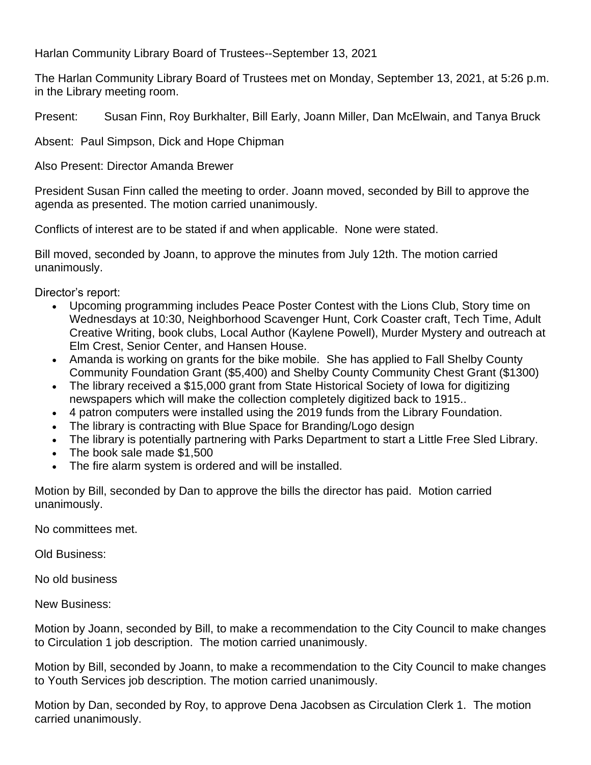Harlan Community Library Board of Trustees--September 13, 2021

The Harlan Community Library Board of Trustees met on Monday, September 13, 2021, at 5:26 p.m. in the Library meeting room.

Present: Susan Finn, Roy Burkhalter, Bill Early, Joann Miller, Dan McElwain, and Tanya Bruck

Absent: Paul Simpson, Dick and Hope Chipman

Also Present: Director Amanda Brewer

President Susan Finn called the meeting to order. Joann moved, seconded by Bill to approve the agenda as presented. The motion carried unanimously.

Conflicts of interest are to be stated if and when applicable. None were stated.

Bill moved, seconded by Joann, to approve the minutes from July 12th. The motion carried unanimously.

Director's report:

- Upcoming programming includes Peace Poster Contest with the Lions Club, Story time on Wednesdays at 10:30, Neighborhood Scavenger Hunt, Cork Coaster craft, Tech Time, Adult Creative Writing, book clubs, Local Author (Kaylene Powell), Murder Mystery and outreach at Elm Crest, Senior Center, and Hansen House.
- Amanda is working on grants for the bike mobile. She has applied to Fall Shelby County Community Foundation Grant (\$5,400) and Shelby County Community Chest Grant (\$1300)
- The library received a \$15,000 grant from State Historical Society of Iowa for digitizing newspapers which will make the collection completely digitized back to 1915..
- 4 patron computers were installed using the 2019 funds from the Library Foundation.
- The library is contracting with Blue Space for Branding/Logo design
- The library is potentially partnering with Parks Department to start a Little Free Sled Library.
- The book sale made \$1,500
- The fire alarm system is ordered and will be installed.

Motion by Bill, seconded by Dan to approve the bills the director has paid. Motion carried unanimously.

No committees met.

Old Business:

No old business

New Business:

Motion by Joann, seconded by Bill, to make a recommendation to the City Council to make changes to Circulation 1 job description. The motion carried unanimously.

Motion by Bill, seconded by Joann, to make a recommendation to the City Council to make changes to Youth Services job description. The motion carried unanimously.

Motion by Dan, seconded by Roy, to approve Dena Jacobsen as Circulation Clerk 1. The motion carried unanimously.